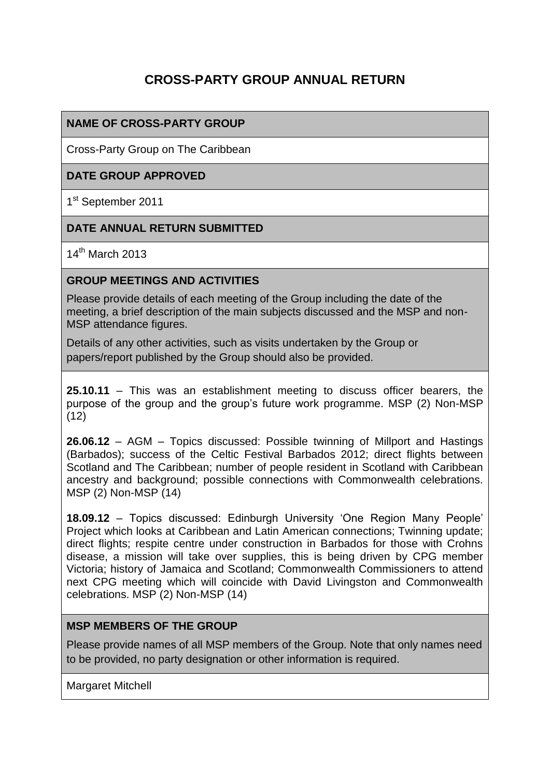# **CROSS-PARTY GROUP ANNUAL RETURN**

## **NAME OF CROSS-PARTY GROUP**

Cross-Party Group on The Caribbean

## **DATE GROUP APPROVED**

1<sup>st</sup> September 2011

#### **DATE ANNUAL RETURN SUBMITTED**

14th March 2013

#### **GROUP MEETINGS AND ACTIVITIES**

Please provide details of each meeting of the Group including the date of the meeting, a brief description of the main subjects discussed and the MSP and non-MSP attendance figures.

Details of any other activities, such as visits undertaken by the Group or papers/report published by the Group should also be provided.

**25.10.11** – This was an establishment meeting to discuss officer bearers, the purpose of the group and the group's future work programme. MSP (2) Non-MSP (12)

**26.06.12** – AGM – Topics discussed: Possible twinning of Millport and Hastings (Barbados); success of the Celtic Festival Barbados 2012; direct flights between Scotland and The Caribbean; number of people resident in Scotland with Caribbean ancestry and background; possible connections with Commonwealth celebrations. MSP (2) Non-MSP (14)

**18.09.12** – Topics discussed: Edinburgh University 'One Region Many People' Project which looks at Caribbean and Latin American connections; Twinning update; direct flights; respite centre under construction in Barbados for those with Crohns disease, a mission will take over supplies, this is being driven by CPG member Victoria; history of Jamaica and Scotland; Commonwealth Commissioners to attend next CPG meeting which will coincide with David Livingston and Commonwealth celebrations. MSP (2) Non-MSP (14)

#### **MSP MEMBERS OF THE GROUP**

Please provide names of all MSP members of the Group. Note that only names need to be provided, no party designation or other information is required.

Margaret Mitchell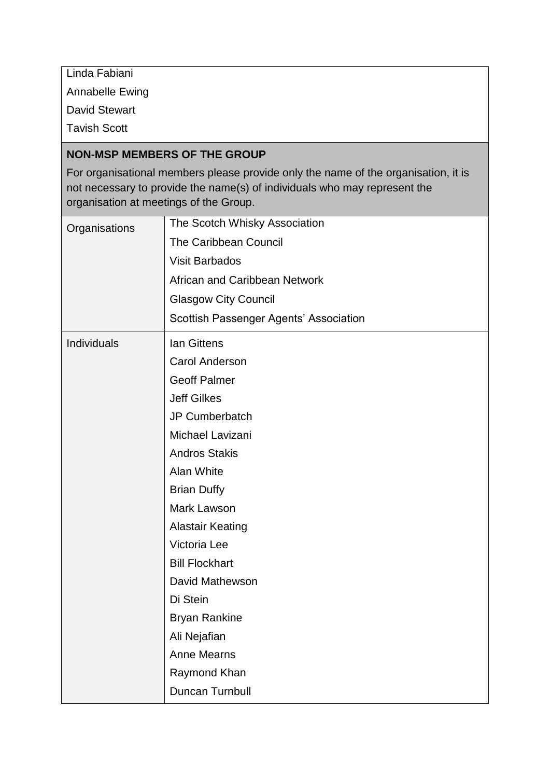Linda Fabiani

Annabelle Ewing

David Stewart

Tavish Scott

#### **NON-MSP MEMBERS OF THE GROUP**

For organisational members please provide only the name of the organisation, it is not necessary to provide the name(s) of individuals who may represent the organisation at meetings of the Group.

| Organisations | The Scotch Whisky Association          |
|---------------|----------------------------------------|
|               | <b>The Caribbean Council</b>           |
|               | <b>Visit Barbados</b>                  |
|               | African and Caribbean Network          |
|               | <b>Glasgow City Council</b>            |
|               | Scottish Passenger Agents' Association |
| Individuals   | <b>Ian Gittens</b>                     |
|               | <b>Carol Anderson</b>                  |
|               | <b>Geoff Palmer</b>                    |
|               | <b>Jeff Gilkes</b>                     |
|               | <b>JP Cumberbatch</b>                  |
|               | Michael Lavizani                       |
|               | <b>Andros Stakis</b>                   |
|               | Alan White                             |
|               | <b>Brian Duffy</b>                     |
|               | Mark Lawson                            |
|               | <b>Alastair Keating</b>                |
|               | Victoria Lee                           |
|               | <b>Bill Flockhart</b>                  |
|               | David Mathewson                        |
|               | Di Stein                               |
|               | <b>Bryan Rankine</b>                   |
|               | Ali Nejafian                           |
|               | <b>Anne Mearns</b>                     |
|               | Raymond Khan                           |
|               | Duncan Turnbull                        |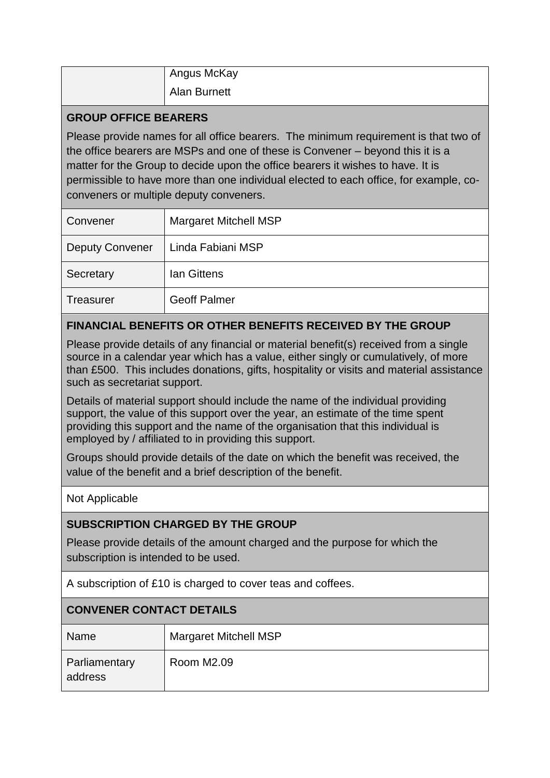| Angus McKay         |
|---------------------|
| <b>Alan Burnett</b> |

#### **GROUP OFFICE BEARERS**

Please provide names for all office bearers. The minimum requirement is that two of the office bearers are MSPs and one of these is Convener – beyond this it is a matter for the Group to decide upon the office bearers it wishes to have. It is permissible to have more than one individual elected to each office, for example, coconveners or multiple deputy conveners.

| Convener               | <b>Margaret Mitchell MSP</b> |
|------------------------|------------------------------|
| <b>Deputy Convener</b> | Linda Fabiani MSP            |
| Secretary              | <b>Ian Gittens</b>           |
| <b>Treasurer</b>       | <b>Geoff Palmer</b>          |

# **FINANCIAL BENEFITS OR OTHER BENEFITS RECEIVED BY THE GROUP**

Please provide details of any financial or material benefit(s) received from a single source in a calendar year which has a value, either singly or cumulatively, of more than £500. This includes donations, gifts, hospitality or visits and material assistance such as secretariat support.

Details of material support should include the name of the individual providing support, the value of this support over the year, an estimate of the time spent providing this support and the name of the organisation that this individual is employed by / affiliated to in providing this support.

Groups should provide details of the date on which the benefit was received, the value of the benefit and a brief description of the benefit.

Not Applicable

## **SUBSCRIPTION CHARGED BY THE GROUP**

Please provide details of the amount charged and the purpose for which the subscription is intended to be used.

A subscription of £10 is charged to cover teas and coffees.

## **CONVENER CONTACT DETAILS**

| <b>Name</b>              | <b>Margaret Mitchell MSP</b> |  |
|--------------------------|------------------------------|--|
| Parliamentary<br>address | Room M2.09                   |  |